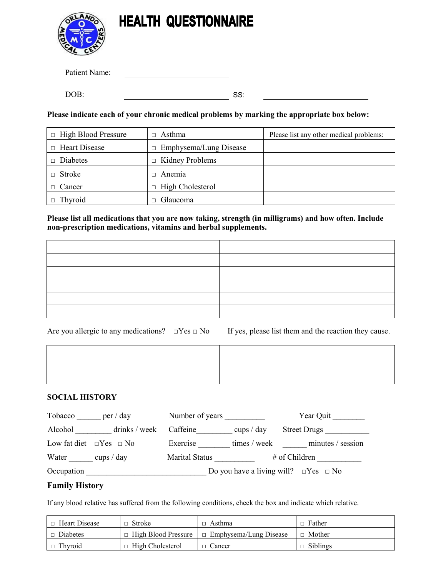

Patient Name:

DOB: SS:

**Please indicate each of your chronic medical problems by marking the appropriate box below:** 

| $\Box$ High Blood Pressure | Asthma<br>$\Box$              | Please list any other medical problems: |
|----------------------------|-------------------------------|-----------------------------------------|
| $\Box$ Heart Disease       | $\Box$ Emphysema/Lung Disease |                                         |
| Diabetes                   | $\Box$ Kidney Problems        |                                         |
| Stroke                     | Anemia<br>┑.                  |                                         |
| Cancer                     | High Cholesterol<br>$\Box$    |                                         |
| Thyroid                    | Glaucoma                      |                                         |

**Please list all medications that you are now taking, strength (in milligrams) and how often. Include non-prescription medications, vitamins and herbal supplements.** 

Are you allergic to any medications?  $\square$  Yes  $\square$  No If yes, please list them and the reaction they cause.

## **SOCIAL HISTORY**

| Tobacco    | per / day                         | Number of years       |              | Year Quit                                             |
|------------|-----------------------------------|-----------------------|--------------|-------------------------------------------------------|
| Alcohol    | drinks / week Caffeine            |                       | cups $/$ day | <b>Street Drugs</b>                                   |
|            | Low fat diet $\Box$ Yes $\Box$ No | Exercise              | times / week | minutes / session                                     |
| Water      | cups $/$ day                      | <b>Marital Status</b> |              | # of Children                                         |
| Occupation |                                   |                       |              | Do you have a living will? $\square$ Yes $\square$ No |

## **Family History**

If any blood relative has suffered from the following conditions, check the box and indicate which relative.

| □ Heart Disease | $\Box$ Stroke           | $\Box$ Asthma                                            | $\Box$ Father   |
|-----------------|-------------------------|----------------------------------------------------------|-----------------|
| Diabetes        |                         | $\Box$ High Blood Pressure $\Box$ Emphysema/Lung Disease | $\Box$ Mother   |
| $\Box$ Thyroid  | $\Box$ High Cholesterol | $\Box$ Cancer                                            | $\Box$ Siblings |